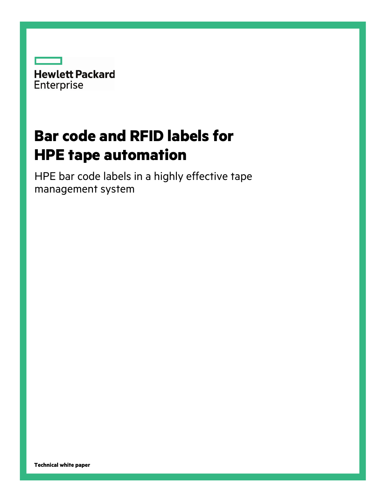

# **Bar code and RFID labels for HPE tape automation**

HPE bar code labels in a highly effective tape management system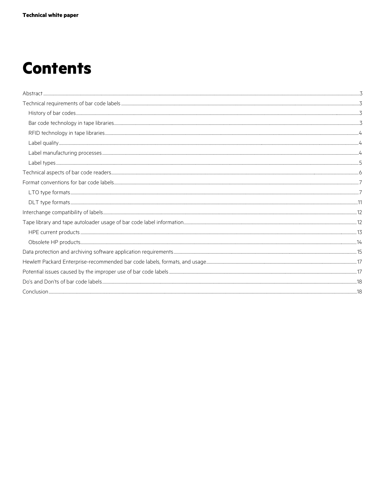# **Contents**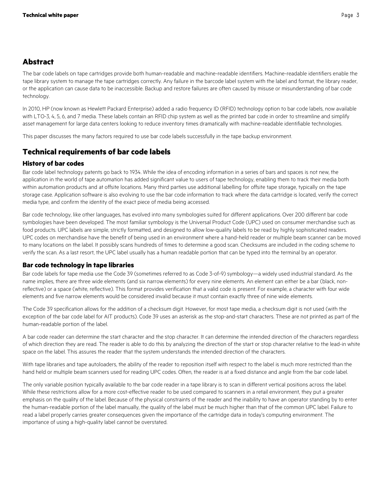# <span id="page-2-0"></span>**Abstract**

The bar code labels on tape cartridges provide both human-readable and machine-readable identifiers. Machine-readable identifiers enable the tape library system to manage the tape cartridges correctly. Any failure in the barcode label system with the label and format, the library reader, or the application can cause data to be inaccessible. Backup and restore failures are often caused by misuse or misunderstanding of bar code technology.

In 2010, HP (now known as Hewlett Packard Enterprise) added a radio frequency ID (RFID) technology option to bar code labels, now available with LTO-3, 4, 5, 6, and 7 media. These labels contain an RFID chip system as well as the printed bar code in order to streamline and simplify asset management for large data centers looking to reduce inventory times dramatically with machine-readable identifiable technologies.

This paper discusses the many factors required to use bar code labels successfully in the tape backup environment.

# <span id="page-2-1"></span>**Technical requirements of bar code labels**

## <span id="page-2-2"></span>**History of bar codes**

Bar code label technology patents go back to 1934. While the idea of encoding information in a series of bars and spaces is not new, the application in the world of tape automation has added significant value to users of tape technology, enabling them to track their media both within automation products and at offsite locations. Many third parties use additional labelling for offsite tape storage, typically on the tape storage case. Application software is also evolving to use the bar code information to track where the data cartridge is located, verify the correct media type, and confirm the identity of the exact piece of media being accessed.

Bar code technology, like other languages, has evolved into many symbologies suited for different applications. Over 200 different bar code symbologies have been developed. The most familiar symbology is the Universal Product Code (UPC) used on consumer merchandise such as food products. UPC labels are simple, strictly formatted, and designed to allow low-quality labels to be read by highly sophisticated readers. UPC codes on merchandise have the benefit of being used in an environment where a hand-held reader or multiple beam scanner can be moved to many locations on the label. It possibly scans hundreds of times to determine a good scan. Checksums are included in the coding scheme to verify the scan. As a last resort, the UPC label usually has a human readable portion that can be typed into the terminal by an operator.

## <span id="page-2-3"></span>**Bar code technology in tape libraries**

Bar code labels for tape media use the Code 39 (sometimes referred to as Code 3-of-9) symbology—a widely used industrial standard. As the name implies, there are three wide elements (and six narrow elements) for every nine elements. An element can either be a bar (black, nonreflective) or a space (white, reflective). This format provides verification that a valid code is present. For example, a character with four wide elements and five narrow elements would be considered invalid because it must contain exactly three of nine wide elements.

The Code 39 specification allows for the addition of a checksum digit. However, for most tape media, a checksum digit is not used (with the exception of the bar code label for AIT products). Code 39 uses an asterisk as the stop-and-start characters. These are not printed as part of the human-readable portion of the label.

A bar code reader can determine the start character and the stop character. It can determine the intended direction of the characters regardless of which direction they are read. The reader is able to do this by analyzing the direction of the start or stop character relative to the lead-in white space on the label. This assures the reader that the system understands the intended direction of the characters.

With tape libraries and tape autoloaders, the ability of the reader to reposition itself with respect to the label is much more restricted than the hand held or multiple beam scanners used for reading UPC codes. Often, the reader is at a fixed distance and angle from the bar code label.

The only variable position typically available to the bar code reader in a tape library is to scan in different vertical positions across the label. While these restrictions allow for a more cost-effective reader to be used compared to scanners in a retail environment, they put a greater emphasis on the quality of the label. Because of the physical constraints of the reader and the inability to have an operator standing by to enter the human-readable portion of the label manually, the quality of the label must be much higher than that of the common UPC label. Failure to read a label properly carries greater consequences given the importance of the cartridge data in today's computing environment. The importance of using a high-quality label cannot be overstated.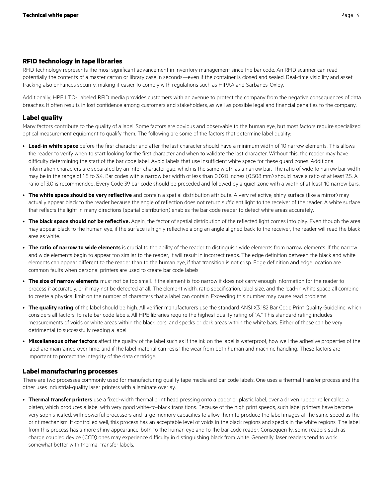## <span id="page-3-0"></span>**RFID technology in tape libraries**

RFID technology represents the most significant advancement in inventory management since the bar code. An RFID scanner can read potentially the contents of a master carton or library case in seconds—even if the container is closed and sealed. Real-time visibility and asset tracking also enhances security, making it easier to comply with regulations such as HIPAA and Sarbanes-Oxley.

Additionally, HPE LTO-Labeled RFID media provides customers with an avenue to protect the company from the negative consequences of data breaches. It often results in lost confidence among customers and stakeholders, as well as possible legal and financial penalties to the company.

## <span id="page-3-1"></span>**Label quality**

Many factors contribute to the quality of a label. Some factors are obvious and observable to the human eye, but most factors require specialized optical measurement equipment to qualify them. The following are some of the factors that determine label quality:

- **Lead-in white space** before the first character and after the last character should have a minimum width of 10 narrow elements. This allows the reader to verify when to start looking for the first character and when to validate the last character. Without this, the reader may have difficulty determining the start of the bar code label. Avoid labels that use insufficient white space for these guard zones. Additional information characters are separated by an inter-character gap, which is the same width as a narrow bar. The ratio of wide to narrow bar width may be in the range of 1.8 to 3.4. Bar codes with a narrow bar width of less than 0.020 inches (0.508 mm) should have a ratio of at least 2.5. A ratio of 3.0 is recommended. Every Code 39 bar code should be preceded and followed by a quiet zone with a width of at least 10 narrow bars.
- **The white space should be very reflective** and contain a spatial distribution attribute. A very reflective, shiny surface (like a mirror) may actually appear black to the reader because the angle of reflection does not return sufficient light to the receiver of the reader. A white surface that reflects the light in many directions (spatial distribution) enables the bar code reader to detect white areas accurately.
- **The black space should not be reflective.** Again, the factor of spatial distribution of the reflected light comes into play. Even though the area may appear black to the human eye, if the surface is highly reflective along an angle aligned back to the receiver, the reader will read the black area as white.
- **The ratio of narrow to wide elements** is crucial to the ability of the reader to distinguish wide elements from narrow elements. If the narrow and wide elements begin to appear too similar to the reader, it will result in incorrect reads. The edge definition between the black and white elements can appear different to the reader than to the human eye, if that transition is not crisp. Edge definition and edge location are common faults when personal printers are used to create bar code labels.
- **The size of narrow elements** must not be too small. If the element is too narrow it does not carry enough information for the reader to process it accurately, or it may not be detected at all. The element width, ratio specification, label size, and the lead-in white space all combine to create a physical limit on the number of characters that a label can contain. Exceeding this number may cause read problems.
- **The quality rating** of the label should be high. All verifier manufacturers use the standard ANSI X3.182 Bar Code Print Quality Guideline, which considers all factors, to rate bar code labels. All HPE libraries require the highest quality rating of "A." This standard rating includes measurements of voids or white areas within the black bars, and specks or dark areas within the white bars. Either of those can be very detrimental to successfully reading a label.
- **Miscellaneous other factors** affect the quality of the label such as if the ink on the label is waterproof, how well the adhesive properties of the label are maintained over time, and if the label material can resist the wear from both human and machine handling. These factors are important to protect the integrity of the data cartridge.

## <span id="page-3-2"></span>**Label manufacturing processes**

There are two processes commonly used for manufacturing quality tape media and bar code labels. One uses a thermal transfer process and the other uses industrial-quality laser printers with a laminate overlay.

• **Thermal transfer printers** use a fixed-width thermal print head pressing onto a paper or plastic label, over a driven rubber roller called a platen, which produces a label with very good white-to-black transitions. Because of the high print speeds, such label printers have become very sophisticated, with powerful processors and large memory capacities to allow them to produce the label images at the same speed as the print mechanism. If controlled well, this process has an acceptable level of voids in the black regions and specks in the white regions. The label from this process has a more shiny appearance, both to the human eye and to the bar code reader. Consequently, some readers such as charge coupled device (CCD) ones may experience difficulty in distinguishing black from white. Generally, laser readers tend to work somewhat better with thermal transfer labels.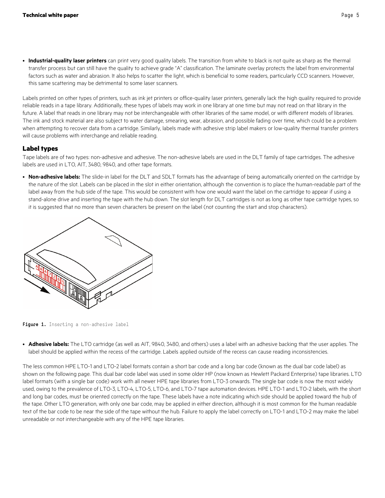• **Industrial-quality laser printers** can print very good quality labels. The transition from white to black is not quite as sharp as the thermal transfer process but can still have the quality to achieve grade "A" classification. The laminate overlay protects the label from environmental factors such as water and abrasion. It also helps to scatter the light, which is beneficial to some readers, particularly CCD scanners. However, this same scattering may be detrimental to some laser scanners.

Labels printed on other types of printers, such as ink jet printers or office-quality laser printers, generally lack the high quality required to provide reliable reads in a tape library. Additionally, these types of labels may work in one library at one time but may not read on that library in the future. A label that reads in one library may not be interchangeable with other libraries of the same model, or with different models of libraries. The ink and stock material are also subject to water damage, smearing, wear, abrasion, and possible fading over time, which could be a problem when attempting to recover data from a cartridge. Similarly, labels made with adhesive strip label makers or low-quality thermal transfer printers will cause problems with interchange and reliable reading.

## <span id="page-4-0"></span>**Label types**

Tape labels are of two types: non-adhesive and adhesive. The non-adhesive labels are used in the DLT family of tape cartridges. The adhesive labels are used in LTO, AIT, 3480, 9840, and other tape formats.

• **Non-adhesive labels:** The slide-in label for the DLT and SDLT formats has the advantage of being automatically oriented on the cartridge by the nature of the slot. Labels can be placed in the slot in either orientation, although the convention is to place the human-readable part of the label away from the hub side of the tape. This would be consistent with how one would want the label on the cartridge to appear if using a stand-alone drive and inserting the tape with the hub down. The slot length for DLT cartridges is not as long as other tape cartridge types, so it is suggested that no more than seven characters be present on the label (not counting the start and stop characters).



Figure 1. Inserting a non-adhesive label

• **Adhesive labels:** The LTO cartridge (as well as AIT, 9840, 3480, and others) uses a label with an adhesive backing that the user applies. The label should be applied within the recess of the cartridge. Labels applied outside of the recess can cause reading inconsistencies.

The less common HPE LTO-1 and LTO-2 label formats contain a short bar code and a long bar code (known as the dual bar code label) as shown on the following page. This dual bar code label was used in some older HP (now known as Hewlett Packard Enterprise) tape libraries. LTO label formats (with a single bar code) work with all newer HPE tape libraries from LTO-3 onwards. The single bar code is now the most widely used, owing to the prevalence of LTO-3, LTO-4, LTO-5, LTO-6, and LTO-7 tape automation devices. HPE LTO-1 and LTO-2 labels, with the short and long bar codes, must be oriented correctly on the tape. These labels have a note indicating which side should be applied toward the hub of the tape. Other LTO generation, with only one bar code, may be applied in either direction, although it is most common for the human readable text of the bar code to be near the side of the tape without the hub. Failure to apply the label correctly on LTO-1 and LTO-2 may make the label unreadable or not interchangeable with any of the HPE tape libraries.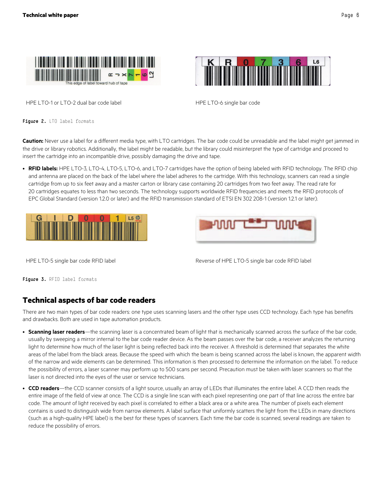



HPE LTO-1 or LTO-2 dual bar code label HPE LTO-6 single bar code

**Figure 2.** LTO label formats

**Caution:** Never use a label for a different media type, with LTO cartridges. The bar code could be unreadable and the label might get jammed in the drive or library robotics. Additionally, the label might be readable, but the library could misinterpret the type of cartridge and proceed to insert the cartridge into an incompatible drive, possibly damaging the drive and tape.

• **RFID labels:** HPE LTO-3, LTO-4, LTO-5, LTO-6, and LTO-7 cartridges have the option of being labeled with RFID technology. The RFID chip and antenna are placed on the back of the label where the label adheres to the cartridge. With this technology, scanners can read a single cartridge from up to six feet away and a master carton or library case containing 20 cartridges from two feet away. The read rate for 20 cartridges equates to less than two seconds. The technology supports worldwide RFID frequencies and meets the RFID protocols of EPC Global Standard (version 1.2.0 or later) and the RFID transmission standard of ETSI EN 302 208-1 (version 1.2.1 or later).





HPE LTO-5 single bar code RFID label and the state of HPE LTO-5 single bar code RFID label

**Figure 3.** RFID label formats

# <span id="page-5-0"></span>**Technical aspects of bar code readers**

There are two main types of bar code readers: one type uses scanning lasers and the other type uses CCD technology. Each type has benefits and drawbacks. Both are used in tape automation products.

- **Scanning laser readers**—the scanning laser is a concentrated beam of light that is mechanically scanned across the surface of the bar code, usually by sweeping a mirror internal to the bar code reader device. As the beam passes over the bar code, a receiver analyzes the returning light to determine how much of the laser light is being reflected back into the receiver. A threshold is determined that separates the white areas of the label from the black areas. Because the speed with which the beam is being scanned across the label is known, the apparent width of the narrow and wide elements can be determined. This information is then processed to determine the information on the label. To reduce the possibility of errors, a laser scanner may perform up to 500 scans per second. Precaution must be taken with laser scanners so that the laser is not directed into the eyes of the user or service technicians.
- **CCD readers**—the CCD scanner consists of a light source, usually an array of LEDs that illuminates the entire label. A CCD then reads the entire image of the field of view at once. The CCD is a single line scan with each pixel representing one part of that line across the entire bar code. The amount of light received by each pixel is correlated to either a black area or a white area. The number of pixels each element contains is used to distinguish wide from narrow elements. A label surface that uniformly scatters the light from the LEDs in many directions (such as a high-quality HPE label) is the best for these types of scanners. Each time the bar code is scanned, several readings are taken to reduce the possibility of errors.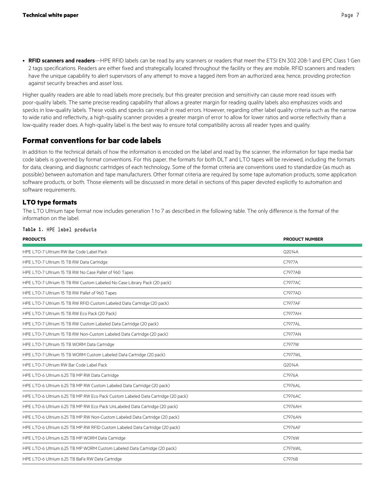• **RFID scanners and readers**—HPE RFID labels can be read by any scanners or readers that meet the ETSI EN 302 208-1 and EPC Class 1 Gen 2 tags specifications. Readers are either fixed and strategically located throughout the facility or they are mobile. RFID scanners and readers have the unique capability to alert supervisors of any attempt to move a tagged item from an authorized area; hence, providing protection against security breaches and asset loss.

Higher quality readers are able to read labels more precisely, but this greater precision and sensitivity can cause more read issues with poor-quality labels. The same precise reading capability that allows a greater margin for reading quality labels also emphasizes voids and specks in low-quality labels. These voids and specks can result in read errors. However, regarding other label quality criteria such as the narrow to wide ratio and reflectivity, a high-quality scanner provides a greater margin of error to allow for lower ratios and worse reflectivity than a low-quality reader does. A high-quality label is the best way to ensure total compatibility across all reader types and quality.

## <span id="page-6-0"></span>**Format conventions for bar code labels**

In addition to the technical details of how the information is encoded on the label and read by the scanner, the information for tape media bar code labels is governed by format conventions. For this paper, the formats for both DLT and LTO tapes will be reviewed, including the formats for data, cleaning, and diagnostic cartridges of each technology. Some of the format criteria are conventions used to standardize (as much as possible) between automation and tape manufacturers. Other format criteria are required by some tape automation products, some application software products, or both. Those elements will be discussed in more detail in sections of this paper devoted explicitly to automation and software requirements.

## <span id="page-6-1"></span>**LTO type formats**

The LTO Ultrium tape format now includes generation 1 to 7 as described in the following table. The only difference is the format of the information on the label.

| <b>PRODUCTS</b>                                                                  | <b>PRODUCT NUMBER</b> |
|----------------------------------------------------------------------------------|-----------------------|
| HPE LTO-7 Ultrium RW Bar Code Label Pack                                         | Q2014A                |
| HPE LTO-7 Ultrium 15 TB RW Data Cartridge                                        | C7977A                |
| HPE LTO-7 Ultrium 15 TB RW No Case Pallet of 960 Tapes                           | C7977AB               |
| HPE LTO-7 Ultrium 15 TB RW Custom Labeled No Case Library Pack (20 pack)         | C7977AC               |
| HPE LTO-7 Ultrium 15 TB RW Pallet of 960 Tapes                                   | C7977AD               |
| HPE LTO-7 Ultrium 15 TB RW RFID Custom Labeled Data Cartridge (20 pack)          | C7977AF               |
| HPE LTO-7 Ultrium 15 TB RW Eco Pack (20 Pack)                                    | C7977AH               |
| HPE LTO-7 Ultrium 15 TB RW Custom Labeled Data Cartridge (20 pack)               | C7977AL               |
| HPE LTO-7 Ultrium 15 TB RW Non-Custom Labeled Data Cartridge (20 pack)           | C7977AN               |
| HPE LTO-7 Ultrium 15 TB WORM Data Cartridge                                      | C7977W                |
| HPE LTO-7 Ultrium 15 TB WORM Custom Labeled Data Cartridge (20 pack)             | C7977WL               |
| HPE LTO-7 Ultrium RW Bar Code Label Pack                                         | Q2014A                |
| HPE LTO-6 Ultrium 6.25 TB MP RW Data Cartridge                                   | C7976A                |
| HPE LTO-6 Ultrium 6.25 TB MP RW Custom Labeled Data Cartridge (20 pack)          | C7976AL               |
| HPE LTO-6 Ultrium 6.25 TB MP RW Eco Pack Custom Labeled Data Cartridge (20 pack) | C7976AC               |
| HPE LTO-6 Ultrium 6.25 TB MP RW Eco Pack UnLabeled Data Cartridge (20 pack)      | C7976AH               |
| HPE LTO-6 Ultrium 6.25 TB MP RW Non-Custom Labeled Data Cartridge (20 pack)      | C7976AN               |
| HPE LTO-6 Ultrium 6.25 TB MP RW RFID Custom Labeled Data Cartridge (20 pack)     | C7976AF               |
| HPE LTO-6 Ultrium 6.25 TB MP WORM Data Cartridge                                 | C7976W                |
| HPE LTO-6 Ultrium 6.25 TB MP WORM Custom Labeled Data Cartridge (20 pack)        | C7976WL               |
| HPE LTO-6 Ultrium 6.25 TB BaFe RW Data Cartridge                                 | C7976B                |
|                                                                                  |                       |

#### **Table 1.** HPE label products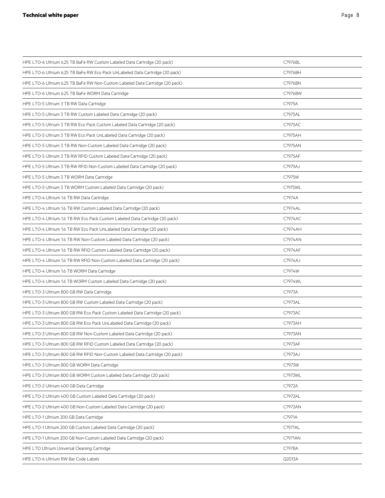| HPE LTO-6 Ultrium 6.25 TB BaFe RW Custom Labeled Data Cartridge (20 pack)     | C7976BL |  |
|-------------------------------------------------------------------------------|---------|--|
| HPE LTO-6 Ultrium 6.25 TB BaFe RW Eco Pack UnLabeled Data Cartridge (20 pack) | C7976BH |  |
| HPE LTO-6 Ultrium 6.25 TB BaFe RW Non-Custom Labeled Data Cartridge (20 pack) | C7976BN |  |
| HPE LTO-6 Ultrium 6.25 TB BaFe WORM Data Cartridge                            | C7976BW |  |
| HPE LTO-5 Ultrium 3 TB RW Data Cartridge                                      | C7975A  |  |
| HPE LTO-5 Ultrium 3 TB RW Custom Labeled Data Cartridge (20 pack)             | C7975AL |  |
| HPE LTO-5 Ultrium 3 TB RW Eco Pack Custom Labeled Data Cartridge (20 pack)    | C7975AC |  |
| HPE LTO-5 Ultrium 3 TB RW Eco Pack UnLabeled Data Cartridge (20 pack)         | C7975AH |  |
| HPE LTO-5 Ultrium 3 TB RW Non-Custom Labeled Data Cartridge (20 pack)         | C7975AN |  |
| HPE LTO-5 Ultrium 3 TB RW RFID Custom Labeled Data Cartridge (20 pack)        | C7975AF |  |
| HPE LTO-5 Ultrium 3 TB RW RFID Non-Custom Labeled Data Cartridge (20 pack)    | C7975AJ |  |
| HPE LTO-5 Ultrium 3 TB WORM Data Cartridge                                    | C7975W  |  |
| HPE LTO-5 Ultrium 3 TB WORM Custom Labeled Data Cartridge (20 pack)           | C7975WL |  |
| HPE LTO-4 Ultrium 1.6 TB RW Data Cartridge                                    | C7974A  |  |
| HPE LTO-4 Ultrium 1.6 TB RW Custom Labeled Data Cartridge (20 pack)           | C7974AL |  |
| HPE LTO-4 Ultrium 1.6 TB RW Eco Pack Custom Labeled Data Cartridge (20 pack)  | C7974AC |  |
| HPE LTO-4 Ultrium 1.6 TB RW Eco Pack UnLabeled Data Cartridge (20 pack)       | C7974AH |  |
| HPE LTO-4 Ultrium 1.6 TB RW Non-Custom Labeled Data Cartridge (20 pack)       | C7974AN |  |
| HPE LTO-4 Ultrium 1.6 TB RW RFID Custom Labeled Data Cartridge (20 pack)      | C7974AF |  |
| HPE LTO-4 Ultrium 1.6 TB RW RFID Non-Custom Labeled Data Cartridge (20 pack)  | C7974AJ |  |
| HPE LTO-4 Ultrium 1.6 TB WORM Data Cartridge                                  | C7974W  |  |
| HPE LTO-4 Ultrium 1.6 TB WORM Custom Labeled Data Cartridge (20 pack)         | C7974WL |  |
| HPE LTO-3 Ultrium 800 GB RW Data Cartridge                                    | C7973A  |  |
| HPE LTO-3 Ultrium 800 GB RW Custom Labeled Data Cartridge (20 pack)           | C7973AL |  |
| HPE LTO-3 Ultrium 800 GB RW Eco Pack Custom Labeled Data Cartridge (20 pack)  | C7973AC |  |
| HPE LTO-3 Ultrium 800 GB RW Eco Pack UnLabeled Data Cartridge (20 pack)       | C7973AH |  |
| HPE LTO-3 Ultrium 800 GB RW Non-Custom Labeled Data Cartridge (20 pack)       | C7973AN |  |
| HPE LTO-3 Ultrium 800 GB RW RFID Custom Labeled Data Cartridge (20 pack)      | C7973AF |  |
| HPE LTO-3 Ultrium 800 GB RW RFID Non-Custom Labeled Data Cartridge (20 pack)  | C7973AJ |  |
| HPE LTO-3 Ultrium 800 GB WORM Data Cartridge                                  | C7973W  |  |
| HPE LTO-3 Ultrium 800 GB WORM Custom Labeled Data Cartridge (20 pack)         | C7973WL |  |
| HPE LTO-2 Ultrium 400 GB Data Cartridge                                       | C7972A  |  |
| HPE LTO-2 Ultrium 400 GB Custom Labeled Data Cartridge (20 pack)              | C7972AL |  |
| HPE LTO-2 Ultrium 400 GB Non-Custom Labeled Data Cartridge (20 pack)          | C7972AN |  |
| HPE LTO-1 Ultrium 200 GB Data Cartridge                                       | C7971A  |  |
| HPE LTO-1 Ultrium 200 GB Custom Labeled Data Cartridge (20 pack)              | C7971AL |  |
| HPE LTO-1 Ultrium 200 GB Non-Custom Labeled Data Cartridge (20 pack)          | C7971AN |  |
| HPE LTO Ultrium Universal Cleaning Cartridge                                  | C7978A  |  |
| HPE LTO-6 Ultrium RW Bar Code Labels                                          | Q2013A  |  |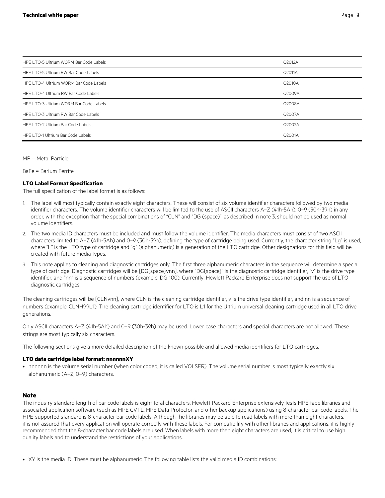| HPE LTO-5 Ultrium WORM Bar Code Labels | Q2012A |
|----------------------------------------|--------|
| HPE LTO-5 Ultrium RW Bar Code Labels   | Q2011A |
| HPE LTO-4 Ultrium WORM Bar Code Labels | Q2010A |
| HPE LTO-4 Ultrium RW Bar Code Labels   | Q2009A |
| HPE LTO-3 Ultrium WORM Bar Code Labels | Q2008A |
| HPE LTO-3 Ultrium RW Bar Code Labels   | Q2007A |
| HPF LTO-2 Ultrium Bar Code Labels      | Q2002A |
| HPE LTO-1 Ultrium Bar Code Labels      | Q2001A |

MP = Metal Particle

BaFe = Barium Ferrite

#### **LTO Label Format Specification**

The full specification of the label format is as follows:

- 1. The label will most typically contain exactly eight characters. These will consist of six volume identifier characters followed by two media identifier characters. The volume identifier characters will be limited to the use of ASCII characters A–Z (41h-5Ah), 0–9 (30h-39h) in any order, with the exception that the special combinations of "CLN" and "DG (space)", as described in note 3, should not be used as normal volume identifiers.
- 2. The two media ID characters must be included and must follow the volume identifier. The media characters must consist of two ASCII characters limited to A–Z (41h-5Ah) and 0–9 (30h-39h), defining the type of cartridge being used. Currently, the character string "Lg" is used, where "L" is the LTO type of cartridge and "g" (alphanumeric) is a generation of the LTO cartridge. Other designations for this field will be created with future media types.
- 3. This note applies to cleaning and diagnostic cartridges only. The first three alphanumeric characters in the sequence will determine a special type of cartridge. Diagnostic cartridges will be [DG{space}vnn], where "DG{space}" is the diagnostic cartridge identifier, "v" is the drive type identifier, and "nn" is a sequence of numbers (example: DG 100). Currently, Hewlett Packard Enterprise does not support the use of LTO diagnostic cartridges.

The cleaning cartridges will be [CLNvnn], where CLN is the cleaning cartridge identifier, v is the drive type identifier, and nn is a sequence of numbers (example: CLNH99L1). The cleaning cartridge identifier for LTO is L1 for the Ultrium universal cleaning cartridge used in all LTO drive generations.

Only ASCII characters A–Z (41h-5Ah) and 0–9 (30h-39h) may be used. Lower case characters and special characters are not allowed. These strings are most typically six characters.

The following sections give a more detailed description of the known possible and allowed media identifiers for LTO cartridges.

#### **LTO data cartridge label format: nnnnnnXY**

• nnnnnn is the volume serial number (when color coded, it is called VOLSER). The volume serial number is most typically exactly six alphanumeric (A–Z; 0–9) characters.

#### **Note**

The industry standard length of bar code labels is eight total characters. Hewlett Packard Enterprise extensively tests HPE tape libraries and associated application software (such as HPE CVTL, HPE Data Protector, and other backup applications) using 8-character bar code labels. The HPE-supported standard is 8-character bar code labels. Although the libraries may be able to read labels with more than eight characters, it is not assured that every application will operate correctly with these labels. For compatibility with other libraries and applications, it is highly recommended that the 8-character bar code labels are used. When labels with more than eight characters are used, it is critical to use high quality labels and to understand the restrictions of your applications.

• XY is the media ID. These must be alphanumeric. The following table lists the valid media ID combinations: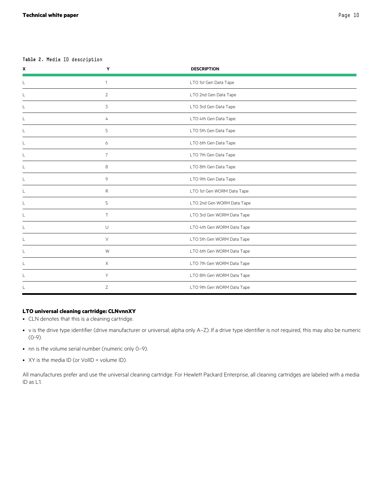### **Table 2.** Media ID description

| $\pmb{\chi}$ | Y              | <b>DESCRIPTION</b>         |
|--------------|----------------|----------------------------|
|              | $\mathbf{1}$   | LTO 1st Gen Data Tape      |
|              | 2              | LTO 2nd Gen Data Tape      |
|              | 3              | LTO 3rd Gen Data Tape      |
|              | 4              | LTO 4th Gen Data Tape      |
|              | 5              | LTO 5th Gen Data Tape      |
|              | 6              | LTO 6th Gen Data Tape      |
|              | $\overline{7}$ | LTO 7th Gen Data Tape      |
|              | 8              | LTO 8th Gen Data Tape      |
|              | 9              | LTO 9th Gen Data Tape      |
|              | R              | LTO 1st Gen WORM Data Tape |
|              | S              | LTO 2nd Gen WORM Data Tape |
|              | T.             | LTO 3rd Gen WORM Data Tape |
|              | $\cup$         | LTO 4th Gen WORM Data Tape |
|              | $\vee$         | LTO 5th Gen WORM Data Tape |
|              | W              | LTO 6th Gen WORM Data Tape |
|              | $\times$       | LTO 7th Gen WORM Data Tape |
|              | Y              | LTO 8th Gen WORM Data Tape |
|              | Z              | LTO 9th Gen WORM Data Tape |

## **LTO universal cleaning cartridge: CLNvnnXY**

- CLN denotes that this is a cleaning cartridge.
- v is the drive type identifier (drive manufacturer or universal; alpha only A–Z). If a drive type identifier is not required, this may also be numeric (0-9).
- nn is the volume serial number (numeric only 0–9).
- XY is the media ID (or VolID = volume ID).

All manufactures prefer and use the universal cleaning cartridge. For Hewlett Packard Enterprise, all cleaning cartridges are labeled with a media ID as L1.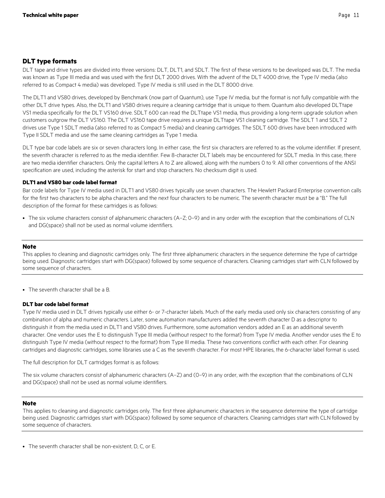## <span id="page-10-0"></span>**DLT type formats**

DLT tape and drive types are divided into three versions: DLT, DLT1, and SDLT. The first of these versions to be developed was DLT. The media was known as Type III media and was used with the first DLT 2000 drives. With the advent of the DLT 4000 drive, the Type IV media (also referred to as Compact 4 media) was developed. Type IV media is still used in the DLT 8000 drive.

The DLT1 and VS80 drives, developed by Benchmark (now part of Quantum), use Type IV media, but the format is not fully compatible with the other DLT drive types. Also, the DLT1 and VS80 drives require a cleaning cartridge that is unique to them. Quantum also developed DLTtape VS1 media specifically for the DLT VS160 drive. SDLT 600 can read the DLTtape VS1 media, thus providing a long-term upgrade solution when customers outgrow the DLT VS160. The DLT VS160 tape drive requires a unique DLTtape VS1 cleaning cartridge. The SDLT 1 and SDLT 2 drives use Type 1 SDLT media (also referred to as Compact 5 media) and cleaning cartridges. The SDLT 600 drives have been introduced with Type II SDLT media and use the same cleaning cartridges as Type 1 media.

DLT type bar code labels are six or seven characters long. In either case, the first six characters are referred to as the volume identifier. If present, the seventh character is referred to as the media identifier. Few 8-character DLT labels may be encountered for SDLT media. In this case, there are two media identifier characters. Only the capital letters A to Z are allowed, along with the numbers 0 to 9. All other conventions of the ANSI specification are used, including the asterisk for start and stop characters. No checksum digit is used.

## **DLT1 and VS80 bar code label format**

Bar code labels for Type IV media used in DLT1 and VS80 drives typically use seven characters. The Hewlett Packard Enterprise convention calls for the first two characters to be alpha characters and the next four characters to be numeric. The seventh character must be a "B." The full description of the format for these cartridges is as follows:

• The six volume characters consist of alphanumeric characters (A–Z; 0–9) and in any order with the exception that the combinations of CLN and DG(space) shall not be used as normal volume identifiers.

#### **Note**

This applies to cleaning and diagnostic cartridges only. The first three alphanumeric characters in the sequence determine the type of cartridge being used. Diagnostic cartridges start with DG(space) followed by some sequence of characters. Cleaning cartridges start with CLN followed by some sequence of characters.

• The seventh character shall be a B.

### **DLT bar code label format**

Type IV media used in DLT drives typically use either 6- or 7-character labels. Much of the early media used only six characters consisting of any combination of alpha and numeric characters. Later, some automation manufacturers added the seventh character D as a descriptor to distinguish it from the media used in DLT1 and VS80 drives. Furthermore, some automation vendors added an E as an additional seventh character. One vendor uses the E to distinguish Type III media (without respect to the format) from Type IV media. Another vendor uses the E to distinguish Type IV media (without respect to the format) from Type III media. These two conventions conflict with each other. For cleaning cartridges and diagnostic cartridges, some libraries use a C as the seventh character. For most HPE libraries, the 6-character label format is used.

The full description for DLT cartridges format is as follows:

The six volume characters consist of alphanumeric characters (A–Z) and (0–9) in any order, with the exception that the combinations of CLN and DG(space) shall not be used as normal volume identifiers.

#### **Note**

This applies to cleaning and diagnostic cartridges only. The first three alphanumeric characters in the sequence determine the type of cartridge being used. Diagnostic cartridges start with DG(space) followed by some sequence of characters. Cleaning cartridges start with CLN followed by some sequence of characters.

<sup>•</sup> The seventh character shall be non-existent, D, C, or E.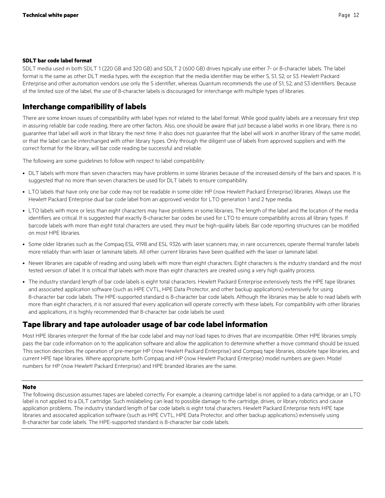#### **SDLT bar code label format**

SDLT media used in both SDLT 1 (220 GB and 320 GB) and SDLT 2 (600 GB) drives typically use either 7- or 8-character labels. The label format is the same as other DLT media types, with the exception that the media identifier may be either S, S1, S2, or S3. Hewlett Packard Enterprise and other automation vendors use only the S identifier, whereas Quantum recommends the use of S1, S2, and S3 identifiers. Because of the limited size of the label, the use of 8-character labels is discouraged for interchange with multiple types of libraries.

# <span id="page-11-0"></span>**Interchange compatibility of labels**

There are some known issues of compatibility with label types not related to the label format. While good quality labels are a necessary first step in assuring reliable bar code reading, there are other factors. Also, one should be aware that just because a label works in one library, there is no guarantee that label will work in that library the next time. It also does not guarantee that the label will work in another library of the same model, or that the label can be interchanged with other library types. Only through the diligent use of labels from approved suppliers and with the correct format for the library, will bar code reading be successful and reliable.

The following are some guidelines to follow with respect to label compatibility:

- DLT labels with more than seven characters may have problems in some libraries because of the increased density of the bars and spaces. It is suggested that no more than seven characters be used for DLT labels to ensure compatibility.
- LTO labels that have only one bar code may not be readable in some older HP (now Hewlett Packard Enterprise) libraries. Always use the Hewlett Packard Enterprise dual bar code label from an approved vendor for LTO generation 1 and 2 type media.
- LTO labels with more or less than eight characters may have problems in some libraries. The length of the label and the location of the media identifiers are critical. It is suggested that exactly 8-character bar codes be used for LTO to ensure compatibility across all library types. If barcode labels with more than eight total characters are used, they must be high-quality labels. Bar code reporting structures can be modified on most HPE libraries.
- Some older libraries such as the Compaq ESL 9198 and ESL 9326 with laser scanners may, in rare occurrences, operate thermal transfer labels more reliably than with laser or laminate labels. All other current libraries have been qualified with the laser or laminate label.
- Newer libraries are capable of reading and using labels with more than eight characters. Eight characters is the industry standard and the most tested version of label. It is critical that labels with more than eight characters are created using a very high quality process.
- The industry standard length of bar code labels is eight total characters. Hewlett Packard Enterprise extensively tests the HPE tape libraries and associated application software (such as HPE CVTL, HPE Data Protector, and other backup applications) extensively for using 8-character bar code labels. The HPE-supported standard is 8-character bar code labels. Although the libraries may be able to read labels with more than eight characters, it is not assured that every application will operate correctly with these labels. For compatibility with other libraries and applications, it is highly recommended that 8-character bar code labels be used.

# <span id="page-11-1"></span>**Tape library and tape autoloader usage of bar code label information**

Most HPE libraries interpret the format of the bar code label and may not load tapes to drives that are incompatible. Other HPE libraries simply pass the bar code information on to the application software and allow the application to determine whether a move command should be issued. This section describes the operation of pre-merger HP (now Hewlett Packard Enterprise) and Compaq tape libraries, obsolete tape libraries, and current HPE tape libraries. Where appropriate, both Compaq and HP (now Hewlett Packard Enterprise) model numbers are given. Model numbers for HP (now Hewlett Packard Enterprise) and HPE branded libraries are the same.

### **Note**

The following discussion assumes tapes are labeled correctly. For example, a cleaning cartridge label is not applied to a data cartridge, or an LTO label is not applied to a DLT cartridge. Such mislabeling can lead to possible damage to the cartridge, drives, or library robotics and cause application problems. The industry standard length of bar code labels is eight total characters. Hewlett Packard Enterprise tests HPE tape libraries and associated application software (such as HPE CVTL, HPE Data Protector, and other backup applications) extensively using 8-character bar code labels. The HPE-supported standard is 8-character bar code labels.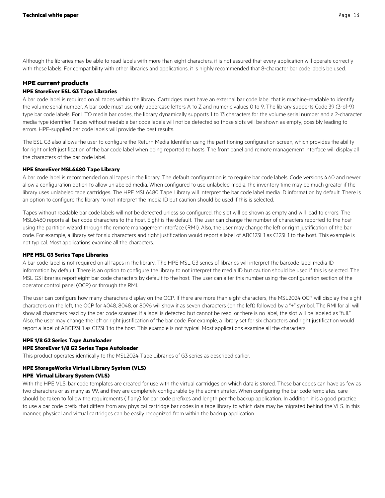Although the libraries may be able to read labels with more than eight characters, it is not assured that every application will operate correctly with these labels. For compatibility with other libraries and applications, it is highly recommended that 8-character bar code labels be used.

## <span id="page-12-0"></span>**HPE current products HPE StoreEver ESL G3 Tape Libraries**

A bar code label is required on all tapes within the library. Cartridges must have an external bar code label that is machine-readable to identify the volume serial number. A bar code must use only uppercase letters A to Z and numeric values 0 to 9. The library supports Code 39 (3-of-9) type bar code labels. For LTO media bar codes, the library dynamically supports 1 to 13 characters for the volume serial number and a 2-character media type identifier. Tapes without readable bar code labels will not be detected so those slots will be shown as empty, possibly leading to errors. HPE-supplied bar code labels will provide the best results.

The ESL G3 also allows the user to configure the Return Media Identifier using the partitioning configuration screen, which provides the ability for right or left justification of the bar code label when being reported to hosts. The front panel and remote management interface will display all the characters of the bar code label.

## **HPE StoreEver MSL6480 Tape Library**

A bar code label is recommended on all tapes in the library. The default configuration is to require bar code labels. Code versions 4.60 and newer allow a configuration option to allow unlabeled media. When configured to use unlabeled media, the inventory time may be much greater if the library uses unlabeled tape cartridges. The HPE MSL6480 Tape Library will interpret the bar code label media ID information by default. There is an option to configure the library to not interpret the media ID but caution should be used if this is selected.

Tapes without readable bar code labels will not be detected unless so configured, the slot will be shown as empty and will lead to errors. The MSL6480 reports all bar code characters to the host. Eight is the default. The user can change the number of characters reported to the host using the partition wizard through the remote management interface (RMI). Also, the user may change the left or right justification of the bar code. For example, a library set for six characters and right justification would report a label of ABC123L1 as C123L1 to the host. This example is not typical. Most applications examine all the characters.

### **HPE MSL G3 Series Tape Libraries**

A bar code label is not required on all tapes in the library. The HPE MSL G3 series of libraries will interpret the barcode label media ID information by default. There is an option to configure the library to not interpret the media ID but caution should be used if this is selected. The MSL G3 libraries report eight bar code characters by default to the host. The user can alter this number using the configuration section of the operator control panel (OCP) or through the RMI.

The user can configure how many characters display on the OCP. If there are more than eight characters, the MSL2024 OCP will display the eight characters on the left, the OCP for 4048, 8048, or 8096 will show it as seven characters (on the left) followed by a "+" symbol. The RMI for all will show all characters read by the bar code scanner. If a label is detected but cannot be read, or there is no label, the slot will be labeled as "full." Also, the user may change the left or right justification of the bar code. For example, a library set for six characters and right justification would report a label of ABC123L1 as C123L1 to the host. This example is not typical. Most applications examine all the characters.

## **HPE 1/8 G2 Series Tape Autoloader HPE StoreEver 1/8 G2 Series Tape Autoloader**

This product operates identically to the MSL2024 Tape Libraries of G3 series as described earlier.

# **HPE StorageWorks Virtual Library System (VLS)**

**HPE Virtual Library System (VLS)**

With the HPE VLS, bar code templates are created for use with the virtual cartridges on which data is stored. These bar codes can have as few as two characters or as many as 99, and they are completely configurable by the administrator. When configuring the bar code templates, care should be taken to follow the requirements (if any) for bar code prefixes and length per the backup application. In addition, it is a good practice to use a bar code prefix that differs from any physical cartridge bar codes in a tape library to which data may be migrated behind the VLS. In this manner, physical and virtual cartridges can be easily recognized from within the backup application.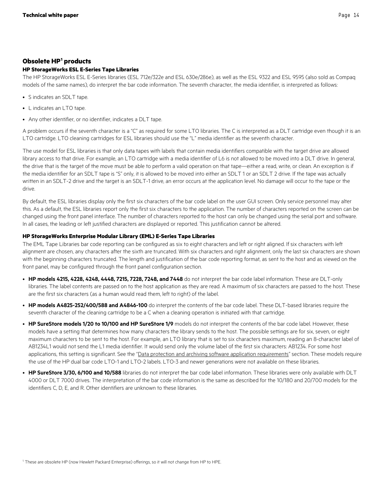## <span id="page-13-0"></span>**Obsolete HP[1](#page-13-1) products**

## **HP StorageWorks ESL E-Series Tape Libraries**

The HP StorageWorks ESL E-Series libraries (ESL 712e/322e and ESL 630e/286e), as well as the ESL 9322 and ESL 9595 (also sold as Compaq models of the same names), do interpret the bar code information. The seventh character, the media identifier, is interpreted as follows:

- S indicates an SDLT tape.
- L indicates an LTO tape.
- Any other identifier, or no identifier, indicates a DLT tape.

A problem occurs if the seventh character is a "C" as required for some LTO libraries. The C is interpreted as a DLT cartridge even though it is an LTO cartridge. LTO cleaning cartridges for ESL libraries should use the "L" media identifier as the seventh character.

The use model for ESL libraries is that only data tapes with labels that contain media identifiers compatible with the target drive are allowed library access to that drive. For example, an LTO cartridge with a media identifier of L6 is not allowed to be moved into a DLT drive. In general, the drive that is the target of the move must be able to perform a valid operation on that tape—either a read, write, or clean. An exception is if the media identifier for an SDLT tape is "S" only, it is allowed to be moved into either an SDLT 1 or an SDLT 2 drive. If the tape was actually written in an SDLT-2 drive and the target is an SDLT-1 drive, an error occurs at the application level. No damage will occur to the tape or the drive.

By default, the ESL libraries display only the first six characters of the bar code label on the user GUI screen. Only service personnel may alter this. As a default, the ESL libraries report only the first six characters to the application. The number of characters reported on the screen can be changed using the front panel interface. The number of characters reported to the host can only be changed using the serial port and software. In all cases, the leading or left justified characters are displayed or reported. This justification cannot be altered.

## **HP StorageWorks Enterprise Modular Library (EML) E-Series Tape Libraries**

The EML Tape Libraries bar code reporting can be configured as six to eight characters and left or right aligned. If six characters with left alignment are chosen, any characters after the sixth are truncated. With six characters and right alignment, only the last six characters are shown with the beginning characters truncated. The length and justification of the bar code reporting format, as sent to the host and as viewed on the front panel, may be configured through the front panel configuration section.

- **HP models 4215, 4228, 4248, 4448, 7215, 7228, 7248, and 7448** do not interpret the bar code label information. These are DLT-only libraries. The label contents are passed on to the host application as they are read. A maximum of six characters are passed to the host. These are the first six characters (as a human would read them, left to right) of the label.
- **HP models A4825-252/400/588 and A4846-100** do interpret the contents of the bar code label. These DLT-based libraries require the seventh character of the cleaning cartridge to be a C when a cleaning operation is initiated with that cartridge.
- **HP SureStore models 1/20 to 10/100 and HP SureStore 1/9** models do not interpret the contents of the bar code label. However, these models have a setting that determines how many characters the library sends to the host. The possible settings are for six, seven, or eight maximum characters to be sent to the host. For example, an LTO library that is set to six characters maximum, reading an 8-character label of AB1234L1 would not send the L1 media identifier. It would send only the volume label of the first six characters: AB1234. For some host applications, this setting is significant. See the "[Data protection and archiving software application requirements"](#page-14-0) section. These models require the use of the HP dual bar code LTO-1 and LTO-2 labels. LTO-3 and newer generations were not available on these libraries.
- **HP SureStore 3/30, 6/100 and 10/588** libraries do not interpret the bar code label information. These libraries were only available with DLT 4000 or DLT 7000 drives. The interpretation of the bar code information is the same as described for the 10/180 and 20/700 models for the identifiers C, D, E, and R. Other identifiers are unknown to these libraries.

<span id="page-13-1"></span><sup>1</sup> These are obsolete HP (now Hewlett Packard Enterprise) offerings, so it will not change from HP to HPE.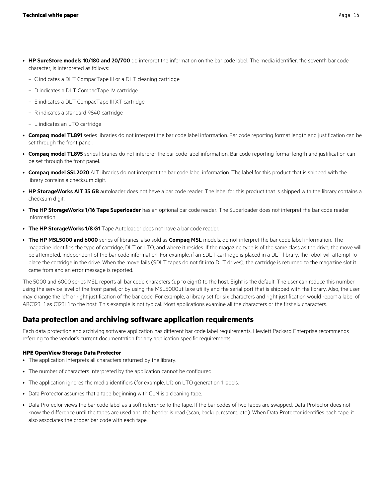- **HP SureStore models 10/180 and 20/700** do interpret the information on the bar code label. The media identifier, the seventh bar code character, is interpreted as follows:
	- C indicates a DLT CompacTape III or a DLT cleaning cartridge
	- D indicates a DLT CompacTape IV cartridge
	- E indicates a DLT CompacTape III XT cartridge
	- R indicates a standard 9840 cartridge
	- L indicates an LTO cartridge
- **Compaq model TL891** series libraries do not interpret the bar code label information. Bar code reporting format length and justification can be set through the front panel.
- **Compaq model TL895** series libraries do not interpret the bar code label information. Bar code reporting format length and justification can be set through the front panel.
- **Compaq model SSL2020** AIT libraries do not interpret the bar code label information. The label for this product that is shipped with the library contains a checksum digit.
- **HP StorageWorks AIT 35 GB** autoloader does not have a bar code reader. The label for this product that is shipped with the library contains a checksum digit.
- **The HP StorageWorks 1/16 Tape Superloader** has an optional bar code reader. The Superloader does not interpret the bar code reader information.
- **The HP StorageWorks 1/8 G1** Tape Autoloader does not have a bar code reader.
- **The HP MSL5000 and 6000** series of libraries, also sold as **Compaq MSL** models, do not interpret the bar code label information. The magazine identifies the type of cartridge, DLT or LTO, and where it resides. If the magazine type is of the same class as the drive, the move will be attempted, independent of the bar code information. For example, if an SDLT cartridge is placed in a DLT library, the robot will attempt to place the cartridge in the drive. When the move fails (SDLT tapes do not fit into DLT drives), the cartridge is returned to the magazine slot it came from and an error message is reported.

The 5000 and 6000 series MSL reports all bar code characters (up to eight) to the host. Eight is the default. The user can reduce this number using the service level of the front panel, or by using the MSL5000util.exe utility and the serial port that is shipped with the library. Also, the user may change the left or right justification of the bar code. For example, a library set for six characters and right justification would report a label of ABC123L1 as C123L1 to the host. This example is not typical. Most applications examine all the characters or the first six characters.

# <span id="page-14-0"></span>**Data protection and archiving software application requirements**

Each data protection and archiving software application has different bar code label requirements. Hewlett Packard Enterprise recommends referring to the vendor's current documentation for any application specific requirements.

## **HPE OpenView Storage Data Protector**

- The application interprets all characters returned by the library.
- The number of characters interpreted by the application cannot be configured.
- The application ignores the media identifiers (for example, L1) on LTO generation 1 labels.
- Data Protector assumes that a tape beginning with CLN is a cleaning tape.
- Data Protector views the bar code label as a soft reference to the tape. If the bar codes of two tapes are swapped, Data Protector does not know the difference until the tapes are used and the header is read (scan, backup, restore, etc.). When Data Protector identifies each tape, it also associates the proper bar code with each tape.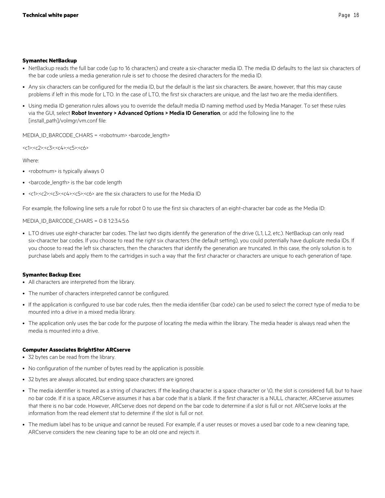### **Symantec NetBackup**

- NetBackup reads the full bar code (up to 16 characters) and create a six-character media ID. The media ID defaults to the last six characters of the bar code unless a media generation rule is set to choose the desired characters for the media ID.
- Any six characters can be configured for the media ID, but the default is the last six characters. Be aware, however, that this may cause problems if left in this mode for LTO. In the case of LTO, the first six characters are unique, and the last two are the media identifiers.
- Using media ID generation rules allows you to override the default media ID naming method used by Media Manager. To set these rules via the GUI, select **Robot Inventory > Advanced Options > Media ID Generation**, or add the following line to the [install\_path]/volmgr/vm.conf file:

MEDIA\_ID\_BARCODE\_CHARS = <robotnum> <br/>barcode\_length>

<c1>:<c2>:<c3>:<c4>:<c5>:<c6>

Where:

- <robotnum> is typically always 0
- < barcode\_length> is the bar code length
- <c1>:<c2>:<c3>:<c4>:<c5>:<c6> are the six characters to use for the Media ID

For example, the following line sets a rule for robot 0 to use the first six characters of an eight-character bar code as the Media ID:

MEDIA\_ID\_BARCODE\_CHARS = 0 8 1:2:3:4:5:6

• LTO drives use eight-character bar codes. The last two digits identify the generation of the drive (L1, L2, etc.). NetBackup can only read six-character bar codes. If you choose to read the right six characters (the default setting), you could potentially have duplicate media IDs. If you choose to read the left six characters, then the characters that identify the generation are truncated. In this case, the only solution is to purchase labels and apply them to the cartridges in such a way that the first character or characters are unique to each generation of tape.

## **Symantec Backup Exec**

- All characters are interpreted from the library.
- The number of characters interpreted cannot be configured.
- If the application is configured to use bar code rules, then the media identifier (bar code) can be used to select the correct type of media to be mounted into a drive in a mixed media library.
- The application only uses the bar code for the purpose of locating the media within the library. The media header is always read when the media is mounted into a drive.

## **Computer Associates BrightStor ARCserve**

- 32 bytes can be read from the library.
- No configuration of the number of bytes read by the application is possible.
- 32 bytes are always allocated, but ending space characters are ignored.
- The media identifier is treated as a string of characters. If the leading character is a space character or \0, the slot is considered full, but to have no bar code. If it is a space, ARCserve assumes it has a bar code that is a blank. If the first character is a NULL character, ARCserve assumes that there is no bar code. However, ARCserve does not depend on the bar code to determine if a slot is full or not. ARCserve looks at the information from the read element stat to determine if the slot is full or not.
- The medium label has to be unique and cannot be reused. For example, if a user reuses or moves a used bar code to a new cleaning tape, ARCserve considers the new cleaning tape to be an old one and rejects it.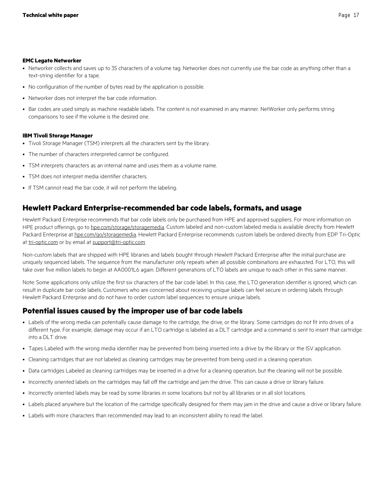#### **EMC Legato Networker**

- Networker collects and saves up to 35 characters of a volume tag. Networker does not currently use the bar code as anything other than a text-string identifier for a tape.
- No configuration of the number of bytes read by the application is possible.
- Networker does not interpret the bar code information.
- Bar codes are used simply as machine readable labels. The content is not examined in any manner. NetWorker only performs string comparisons to see if the volume is the desired one.

### **IBM Tivoli Storage Manager**

- Tivoli Storage Manager (TSM) interprets all the characters sent by the library.
- The number of characters interpreted cannot be configured.
- TSM interprets characters as an internal name and uses them as a volume name.
- TSM does not interpret media identifier characters.
- If TSM cannot read the bar code, it will not perform the labeling.

# <span id="page-16-0"></span>**Hewlett Packard Enterprise-recommended bar code labels, formats, and usage**

Hewlett Packard Enterprise recommends that bar code labels only be purchased from HPE and approved suppliers. For more information on HPE product offerings, go to [hpe.com/storage/storagemedia](http://www.hpe.com/storage/storagemedia). Custom labeled and non-custom labeled media is available directly from Hewlett Packard Enterprise at [hpe.com/go/storagemedia.](http://www.hpe.com/storage/storagemedia) Hewlett Packard Enterprise recommends custom labels be ordered directly from EDP Tri-Optic at [tri-optic.com](http://www.tri-optic.com/) or by email at [support@tri-optic.com](mailto:support@tri-optic.com)

Non-custom labels that are shipped with HPE libraries and labels bought through Hewlett Packard Enterprise after the initial purchase are uniquely sequenced labels. The sequence from the manufacturer only repeats when all possible combinations are exhausted. For LTO, this will take over five million labels to begin at AA0001L6 again. Different generations of LTO labels are unique to each other in this same manner.

Note: Some applications only utilize the first six characters of the bar code label. In this case, the LTO generation identifier is ignored, which can result in duplicate bar code labels. Customers who are concerned about receiving unique labels can feel secure in ordering labels through Hewlett Packard Enterprise and do not have to order custom label sequences to ensure unique labels.

# <span id="page-16-1"></span>**Potential issues caused by the improper use of bar code labels**

- Labels of the wrong media can potentially cause damage to the cartridge, the drive, or the library. Some cartridges do not fit into drives of a different type. For example, damage may occur if an LTO cartridge is labeled as a DLT cartridge and a command is sent to insert that cartridge into a DLT drive.
- Tapes Labeled with the wrong media identifier may be prevented from being inserted into a drive by the library or the ISV application.
- Cleaning cartridges that are not labeled as cleaning cartridges may be prevented from being used in a cleaning operation.
- Data cartridges Labeled as cleaning cartridges may be inserted in a drive for a cleaning operation, but the cleaning will not be possible.
- Incorrectly oriented labels on the cartridges may fall off the cartridge and jam the drive. This can cause a drive or library failure.
- Incorrectly oriented labels may be read by some libraries in some locations but not by all libraries or in all slot locations.
- Labels placed anywhere but the location of the cartridge specifically designed for them may jam in the drive and cause a drive or library failure.
- Labels with more characters than recommended may lead to an inconsistent ability to read the label.